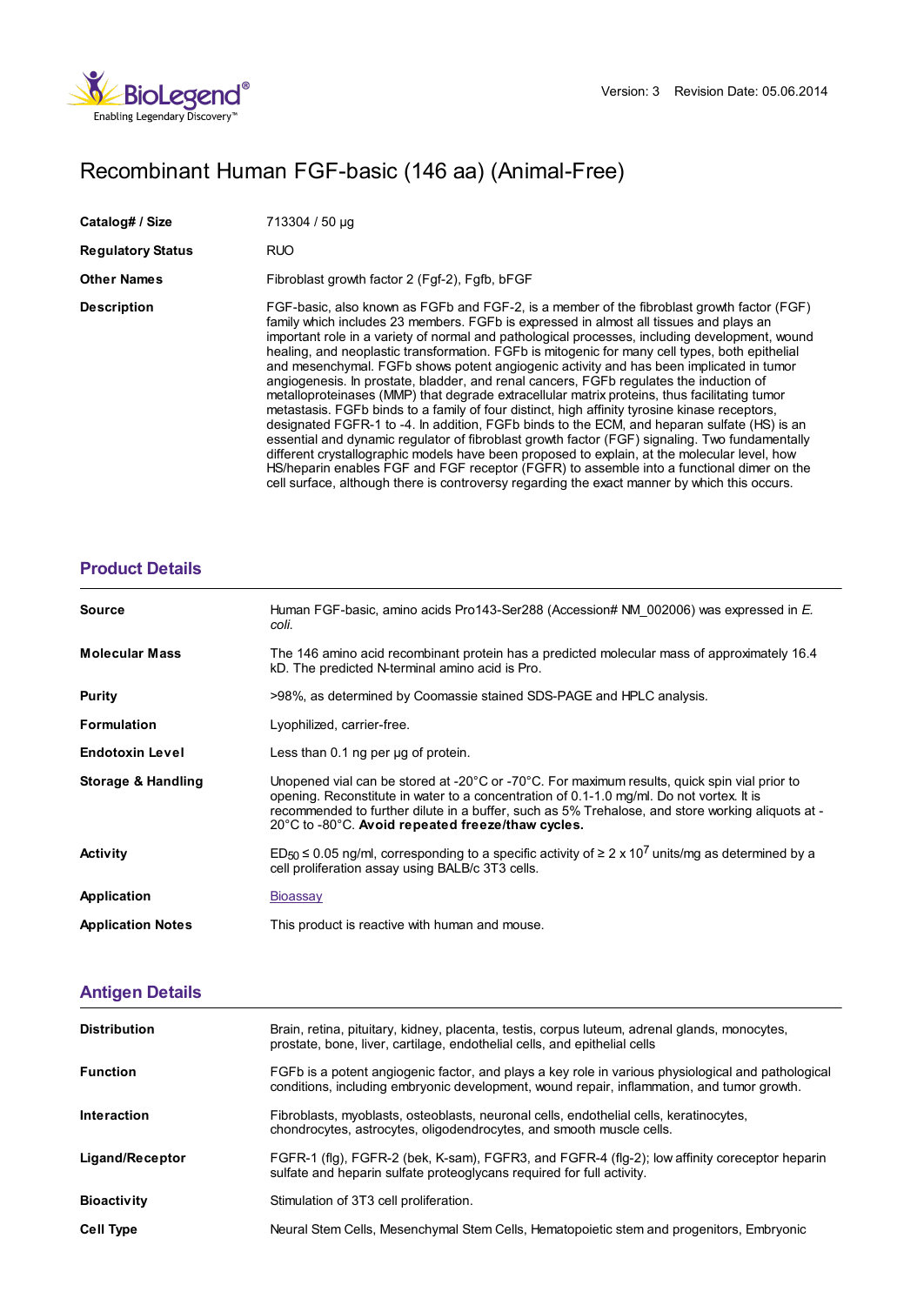

## Recombinant Human FGF-basic (146 aa) (Animal-Free)

| Catalog# / Size          | 713304 / 50 µg                                                                                                                                                                                                                                                                                                                                                                                                                                                                                                                                                                                                                                                                                                                                                                                                                                                                                                                                                                                                                                                                                                                                                                                                                                                               |
|--------------------------|------------------------------------------------------------------------------------------------------------------------------------------------------------------------------------------------------------------------------------------------------------------------------------------------------------------------------------------------------------------------------------------------------------------------------------------------------------------------------------------------------------------------------------------------------------------------------------------------------------------------------------------------------------------------------------------------------------------------------------------------------------------------------------------------------------------------------------------------------------------------------------------------------------------------------------------------------------------------------------------------------------------------------------------------------------------------------------------------------------------------------------------------------------------------------------------------------------------------------------------------------------------------------|
| <b>Regulatory Status</b> | <b>RUO</b>                                                                                                                                                                                                                                                                                                                                                                                                                                                                                                                                                                                                                                                                                                                                                                                                                                                                                                                                                                                                                                                                                                                                                                                                                                                                   |
| <b>Other Names</b>       | Fibroblast growth factor 2 (Fgf-2), Fgfb, bFGF                                                                                                                                                                                                                                                                                                                                                                                                                                                                                                                                                                                                                                                                                                                                                                                                                                                                                                                                                                                                                                                                                                                                                                                                                               |
| <b>Description</b>       | FGF-basic, also known as FGFb and FGF-2, is a member of the fibroblast growth factor (FGF)<br>family which includes 23 members. FGFb is expressed in almost all tissues and plays an<br>important role in a variety of normal and pathological processes, including development, wound<br>healing, and neoplastic transformation. FGFb is mitogenic for many cell types, both epithelial<br>and mesenchymal. FGFb shows potent angiogenic activity and has been implicated in tumor<br>angiogenesis. In prostate, bladder, and renal cancers, FGFb regulates the induction of<br>metalloproteinases (MMP) that degrade extracellular matrix proteins, thus facilitating tumor<br>metastasis. FGFb binds to a family of four distinct, high affinity tyrosine kinase receptors,<br>designated FGFR-1 to -4. In addition, FGFb binds to the ECM, and heparan sulfate (HS) is an<br>essential and dynamic regulator of fibroblast growth factor (FGF) signaling. Two fundamentally<br>different crystallographic models have been proposed to explain, at the molecular level, how<br>HS/heparin enables FGF and FGF receptor (FGFR) to assemble into a functional dimer on the<br>cell surface, although there is controversy regarding the exact manner by which this occurs. |

## **[Product](https://production-dynamicweb.biolegend.com/de-at/products/recombinant-human-fgf-basic-146-aa-animal-free-9498?pdf=true&displayInline=true&leftRightMargin=15&topBottomMargin=15&filename=Recombinant Human FGF-basic (146 aa) (Animal-Free).pdf#productDetails) Details**

| <b>Source</b>            | Human FGF-basic, amino acids Pro143-Ser288 (Accession# NM 002006) was expressed in E.<br>coli.                                                                                                                                                                                                                                                                                               |
|--------------------------|----------------------------------------------------------------------------------------------------------------------------------------------------------------------------------------------------------------------------------------------------------------------------------------------------------------------------------------------------------------------------------------------|
| <b>Molecular Mass</b>    | The 146 amino acid recombinant protein has a predicted molecular mass of approximately 16.4<br>kD. The predicted N-terminal amino acid is Pro.                                                                                                                                                                                                                                               |
| Purity                   | >98%, as determined by Coomassie stained SDS-PAGE and HPLC analysis.                                                                                                                                                                                                                                                                                                                         |
| <b>Formulation</b>       | Lyophilized, carrier-free.                                                                                                                                                                                                                                                                                                                                                                   |
| <b>Endotoxin Level</b>   | Less than $0.1$ ng per $\mu$ g of protein.                                                                                                                                                                                                                                                                                                                                                   |
| Storage & Handling       | Unopened vial can be stored at -20 $^{\circ}$ C or -70 $^{\circ}$ C. For maximum results, quick spin vial prior to<br>opening. Reconstitute in water to a concentration of 0.1-1.0 mg/ml. Do not vortex. It is<br>recommended to further dilute in a buffer, such as 5% Trehalose, and store working aliquots at -<br>$20^{\circ}$ C to -80 $^{\circ}$ C. Avoid repeated freeze/thaw cycles. |
| <b>Activity</b>          | $ED_{50} \le 0.05$ ng/ml, corresponding to a specific activity of $\ge 2 \times 10^7$ units/mg as determined by a<br>cell proliferation assay using BALB/c 3T3 cells.                                                                                                                                                                                                                        |
| Application              | Bioassay                                                                                                                                                                                                                                                                                                                                                                                     |
| <b>Application Notes</b> | This product is reactive with human and mouse.                                                                                                                                                                                                                                                                                                                                               |

## **[Antigen](https://production-dynamicweb.biolegend.com/de-at/products/recombinant-human-fgf-basic-146-aa-animal-free-9498?pdf=true&displayInline=true&leftRightMargin=15&topBottomMargin=15&filename=Recombinant Human FGF-basic (146 aa) (Animal-Free).pdf#antigenDetails) Details**

| <b>Distribution</b> | Brain, retina, pituitary, kidney, placenta, testis, corpus luteum, adrenal glands, monocytes,<br>prostate, bone, liver, cartilage, endothelial cells, and epithelial cells                       |
|---------------------|--------------------------------------------------------------------------------------------------------------------------------------------------------------------------------------------------|
| <b>Function</b>     | FGFb is a potent angiogenic factor, and plays a key role in various physiological and pathological<br>conditions, including embryonic development, wound repair, inflammation, and tumor growth. |
| Interaction         | Fibroblasts, myoblasts, osteoblasts, neuronal cells, endothelial cells, keratinocytes,<br>chondrocytes, astrocytes, oligodendrocytes, and smooth muscle cells.                                   |
| Ligand/Receptor     | FGFR-1 (flg), FGFR-2 (bek, K-sam), FGFR3, and FGFR-4 (flg-2); low affinity coreceptor heparin<br>sulfate and heparin sulfate proteoglycans required for full activity.                           |
| <b>Bioactivity</b>  | Stimulation of 3T3 cell proliferation.                                                                                                                                                           |
| <b>Cell Type</b>    | Neural Stem Cells, Mesenchymal Stem Cells, Hematopoietic stem and progenitors, Embryonic                                                                                                         |